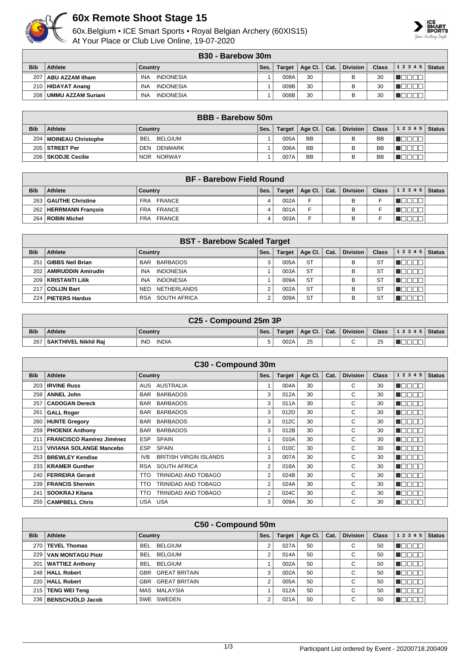

## **60x Remote Shoot Stage 15**

60x.Belgium • ICE Smart Sports • Royal Belgian Archery (60XIS15) At Your Place or Club Live Online, 19-07-2020



|            | <b>B30 - Barebow 30m</b> |                                |      |        |    |  |                           |       |       |        |  |
|------------|--------------------------|--------------------------------|------|--------|----|--|---------------------------|-------|-------|--------|--|
| <b>Bib</b> | Athlete                  | Country                        | Ses. | Target |    |  | Age Cl.   Cat.   Division | Class | 12345 | Status |  |
|            | 207   ABU AZZAM Ilham    | INDONESIA<br><b>INA</b>        |      | 008A   | 30 |  |                           | 30    |       |        |  |
|            | 210   HIDAYAT Anang      | <b>INDONESIA</b><br><b>INA</b> |      | 009B   | 30 |  |                           | 30    |       |        |  |
|            | 208   UMMU AZZAM Suriani | INDONESIA<br><b>INA</b>        |      | 008B   | 30 |  |                           | 30    |       |        |  |

|            | <b>BBB</b> - Barebow 50m |                         |      |        |                 |      |                 |              |                |  |  |
|------------|--------------------------|-------------------------|------|--------|-----------------|------|-----------------|--------------|----------------|--|--|
| <b>Bib</b> | <b>Athlete</b>           | Country                 | Ses. | Target | Age Cl. $\vert$ | Cat. | <b>Division</b> | <b>Class</b> | $12345$ Status |  |  |
|            | 204   MOINEAU Christophe | . BELGIUM<br><b>BEL</b> |      | 005A   | <b>BB</b>       |      | В               | <b>BB</b>    |                |  |  |
|            | 205 STREET Per           | DENMARK<br>DEN          |      | 006A   | <b>BB</b>       |      |                 | BB           |                |  |  |
|            | 206   SKODJE Cecilie     | NOR NORWAY              |      | 007A   | <b>BB</b>       |      |                 | <b>BB</b>    |                |  |  |

|            | <b>BF - Barebow Field Round</b> |               |      |         |                    |  |                 |              |                    |  |  |  |
|------------|---------------------------------|---------------|------|---------|--------------------|--|-----------------|--------------|--------------------|--|--|--|
| <b>Bib</b> | Athlete                         | Country       | Ses. | Target, | │ Age Cl. │ Cat. │ |  | <b>Division</b> | <b>Class</b> | 1 2 3 4 5   Status |  |  |  |
|            | 263   GAUTHE Christine          | FRA FRANCE    |      | 002A    |                    |  | B               |              |                    |  |  |  |
| 262        | HERRMANN Francois               | FRA FRANCE    |      | 001A    |                    |  | B               |              |                    |  |  |  |
| 264        | ROBIN Michel                    | FRANCE<br>FRA |      | 003A    |                    |  |                 |              |                    |  |  |  |

|            | <b>BST - Barebow Scaled Target</b> |                                |      |               |           |      |                 |              |              |               |  |
|------------|------------------------------------|--------------------------------|------|---------------|-----------|------|-----------------|--------------|--------------|---------------|--|
| <b>Bib</b> | Athlete                            | Country                        | Ses. | <b>Target</b> | Age Cl.   | Cat. | <b>Division</b> | <b>Class</b> | 1 2 3 4 5    | <b>Status</b> |  |
| 251        | GIBBS Neil Brian                   | BARBADOS<br><b>BAR</b>         |      | 005A          | <b>ST</b> |      | B               | -ST          |              |               |  |
|            | 202   AMIRUDDIN Amirudin           | <b>INDONESIA</b><br><b>INA</b> |      | 003A          | <b>ST</b> |      | B               | S1           |              |               |  |
|            | 209   KRISTANTI Lilik              | <b>INDONESIA</b><br><b>INA</b> |      | 009A          | <b>ST</b> |      | B               | S1           |              |               |  |
| 217        | COLIJN Bart                        | <b>NETHERLANDS</b><br>NED.     |      | 002A          | <b>ST</b> |      | B               | <b>ST</b>    | $\mathbf{H}$ |               |  |
| 224        | <b>PIETERS Hardus</b>              | SOUTH AFRICA<br><b>RSA</b>     |      | 009A          | <b>ST</b> |      | B               | S1           |              |               |  |

|            | C25 - Compound 25m 3P    |                     |      |        |                |  |          |              |                    |  |  |  |
|------------|--------------------------|---------------------|------|--------|----------------|--|----------|--------------|--------------------|--|--|--|
| <b>Bib</b> | <b>Athlete</b>           | <b>Country</b>      | Ses. | Target | Age Cl.   Cat. |  | Division | <b>Class</b> | 1 2 3 4 5   Status |  |  |  |
| 267        | '   SAKTHIVEL Nikhil Rai | INDIA<br><b>IND</b> | 5    | 002A   | 25             |  | $\sim$   | 25           |                    |  |  |  |

|            |                                  | C30 - Compound 30m                   |                |               |         |      |                 |              |                  |               |
|------------|----------------------------------|--------------------------------------|----------------|---------------|---------|------|-----------------|--------------|------------------|---------------|
| <b>Bib</b> | <b>Athlete</b>                   | <b>Country</b>                       | Ses.           | <b>Target</b> | Age Cl. | Cat. | <b>Division</b> | <b>Class</b> | 1 2 3 4 5        | <b>Status</b> |
| 203        | <b>IRVINE Russ</b>               | AUSTRALIA<br>AUS                     |                | 004A          | 30      |      | C               | 30           | A E E E E        |               |
| 258        | <b>ANNEL John</b>                | <b>BARBADOS</b><br>BAR               | 3              | 012A          | 30      |      | C               | 30           | TNO<br>- II - II |               |
| 257        | <b>CADOGAN Dereck</b>            | <b>BARBADOS</b><br>BAR               | 3              | 011A          | 30      |      | C               | 30           | TOEEN            |               |
| 261        | <b>GALL Roger</b>                | <b>BARBADOS</b><br><b>BAR</b>        | 3              | 012D          | 30      |      | C               | 30           | TEEL             |               |
| 260        | <b>HUNTE Gregory</b>             | <b>BARBADOS</b><br><b>BAR</b>        | 3              | 012C          | 30      |      | C               | 30           | n di si si s     |               |
| 259        | <b>PHOENIX Anthony</b>           | BARBADOS<br>BAR                      | 3              | 012B          | 30      |      | C               | 30           | חרור<br>TOI      |               |
| 211        | <b>FRANCISCO Ramírez Jiménez</b> | <b>SPAIN</b><br><b>ESP</b>           | $\overline{ }$ | 010A          | 30      |      | C               | 30           | n dia sa         |               |
| 213        | <b>VIVIANA SOLANGE Mancebo</b>   | SPAIN<br>ESP                         |                | 010C          | 30      |      | C               | 30           | N E E E          |               |
| 253        | <b>BREWLEY Kendise</b>           | <b>BRITISH VIRGIN ISLANDS</b><br>IVB | 3              | 007A          | 30      |      | C               | 30           | N E E E E        |               |
| 233        | <b>KRAMER Gunther</b>            | SOUTH AFRICA<br>RSA                  | $\overline{2}$ | 018A          | 30      |      | C               | 30           | an an            |               |
| 240        | <b>FERREIRA Gerard</b>           | TRINIDAD AND TOBAGO<br><b>TTO</b>    | 2              | 024B          | 30      |      | С               | 30           | TOOOI            |               |
| 239        | <b>FRANCIS Sherwin</b>           | TRINIDAD AND TOBAGO<br>TTO.          | 2              | 024A          | 30      |      | C               | 30           | N E E E E        |               |
| 241        | SOOKRAJ Kitana                   | TRINIDAD AND TOBAGO<br>TTO           | $\overline{2}$ | 024C          | 30      |      | C               | 30           |                  |               |
|            | 255   CAMPBELL Chris             | USA USA                              | 3              | 009A          | 30      |      | C               | 30           |                  |               |

|            | C50 - Compound 50m     |                              |        |               |         |      |                 |              |           |               |  |  |
|------------|------------------------|------------------------------|--------|---------------|---------|------|-----------------|--------------|-----------|---------------|--|--|
| <b>Bib</b> | Athlete                | Country                      | Ses.   | <b>Target</b> | Age Cl. | Cat. | <b>Division</b> | <b>Class</b> | 1 2 3 4 5 | <b>Status</b> |  |  |
| 270        | <b>TEVEL Thomas</b>    | <b>BELGIUM</b><br>BEL.       |        | 027A          | 50      |      | $\sim$<br>U     | 50           |           |               |  |  |
| 229        | VAN MONTAGU Piotr      | <b>BELGIUM</b><br><b>BEL</b> | $\sim$ | 014A          | 50      |      | $\sim$<br>U     | 50           |           |               |  |  |
| 201        | <b>WATTIEZ Anthony</b> | BELGIUM<br><b>BEL</b>        |        | 002A          | 50      |      | $\sim$<br>U     | 50           |           |               |  |  |
|            | 248   HALL Robert      | <b>GBR GREAT BRITAIN</b>     | 3      | 002A          | 50      |      | $\sim$<br>U     | 50           | Ш.        |               |  |  |
| 220        | <b>HALL Robert</b>     | <b>GREAT BRITAIN</b><br>GBR  | $\sim$ | 005A          | 50      |      | $\sim$<br>U     | 50           | 70 O      |               |  |  |
| 215        | <b>TENG WEI Teng</b>   | MAS MALAYSIA                 |        | 012A          | 50      |      | $\sim$<br>U     | 50           |           |               |  |  |
|            | 236   BENSCHJÖLD Jacob | SWE SWEDEN                   | $\sim$ | 021A          | 50      |      | $\sim$          | 50           |           |               |  |  |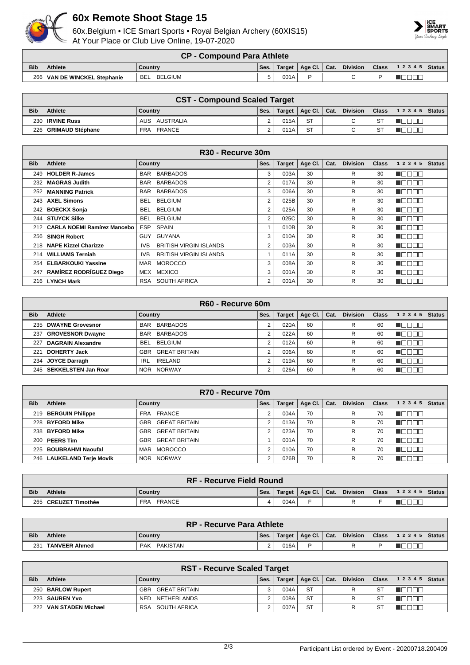

## **60x Remote Shoot Stage 15**

60x.Belgium • ICE Smart Sports • Royal Belgian Archery (60XIS15) At Your Place or Club Live Online, 19-07-2020



|            | <b>CP - Compound Para Athlete</b> |                       |          |      |                                       |  |          |              |                        |  |  |
|------------|-----------------------------------|-----------------------|----------|------|---------------------------------------|--|----------|--------------|------------------------|--|--|
| <b>Bib</b> | <b>Athlete</b>                    | Country               | Ses.     |      | Target   Age Cl. $\vert$ Cat. $\vert$ |  | Division | <b>Class</b> | $\sim$ ss 12345 Status |  |  |
|            | 266   VAN DE WINCKEL Stephanie    | BELGIUM<br><b>BEL</b> | <u>_</u> | 001A |                                       |  |          |              |                        |  |  |

|            | <b>CST - Compound Scaled Target</b> |               |      |        |                |  |          |              |                    |  |  |
|------------|-------------------------------------|---------------|------|--------|----------------|--|----------|--------------|--------------------|--|--|
| <b>Bib</b> | <b>Athlete</b>                      | Country       | Ses. | Target | Age Cl.   Cat. |  | Division | <b>Class</b> | 1 2 3 4 5   Status |  |  |
|            | 230   IRVINE Russ                   | AUS AUSTRALIA |      | 015A   | <b>ST</b>      |  |          | <b>ST</b>    |                    |  |  |
|            | 226   GRIMAUD Stéphane              | FRANCE<br>FRA |      | 011A   | <b>ST</b>      |  |          | -ST          |                    |  |  |

|            | R30 - Recurve 30m                 |                                       |                |               |         |      |                 |              |               |               |  |
|------------|-----------------------------------|---------------------------------------|----------------|---------------|---------|------|-----------------|--------------|---------------|---------------|--|
| <b>Bib</b> | <b>Athlete</b>                    | <b>Country</b>                        | Ses.           | <b>Target</b> | Age Cl. | Cat. | <b>Division</b> | <b>Class</b> | 1 2 3 4 5     | <b>Status</b> |  |
| 249        | <b>HOLDER R-James</b>             | <b>BARBADOS</b><br>BAR                | 3              | 003A          | 30      |      | R               | 30           | N E E E E     |               |  |
| 232 l      | <b>MAGRAS Judith</b>              | <b>BARBADOS</b><br><b>BAR</b>         | $\overline{2}$ | 017A          | 30      |      | R               | 30           | MOOO O        |               |  |
| 252 l      | <b>MANNING Patrick</b>            | <b>BARBADOS</b><br>BAR                | 3              | 006A          | 30      |      | R               | 30           | n E E E E     |               |  |
| 243        | <b>AXEL Simons</b>                | <b>BELGIUM</b><br>BEL.                | $\overline{2}$ | 025B          | 30      |      | R               | 30           | n aan a       |               |  |
| 242        | <b>BOECKX Sonja</b>               | <b>BELGIUM</b><br>BEL.                | $\overline{2}$ | 025A          | 30      |      | R.              | 30           | n dia GMT dia |               |  |
|            | 244   STUYCK Silke                | <b>BELGIUM</b><br>BEL                 | 2              | 025C          | 30      |      | R               | 30           | ' maaaa       |               |  |
|            | 212   CARLA NOEMI Ramírez Mancebo | <b>SPAIN</b><br><b>ESP</b>            |                | 010B          | 30      |      | R               | 30           | n Belek       |               |  |
|            | 256   SINGH Robert                | GUY GUYANA                            | 3              | 010A          | 30      |      | R               | 30           | n an an       |               |  |
|            | 218   NAPE Kizzel Charizze        | <b>BRITISH VIRGIN ISLANDS</b><br>IVB. | 2              | 003A          | 30      |      | R               | 30           | N BE E B      |               |  |
| 214        | <b>WILLIAMS Terniah</b>           | <b>BRITISH VIRGIN ISLANDS</b><br>IVB. |                | 011A          | 30      |      | R               | 30           | n die Eis     |               |  |
| 254        | <b>ELBARKOUKI Yassine</b>         | MAR MOROCCO                           | 3              | 008A          | 30      |      | R               | 30           | Maaaa         |               |  |
| 247        | <b>RAMÍREZ RODRÍGUEZ Diego</b>    | MEX MEXICO                            | 3              | 001A          | 30      |      | R               | 30           | n na na n     |               |  |
|            | 216   LYNCH Mark                  | RSA SOUTH AFRICA                      | $\overline{2}$ | 001A          | 30      |      | R               | 30           | n Booo        |               |  |

|              |                           | R60 - Recurve 60m      |      |               |         |      |                 |              |           |               |
|--------------|---------------------------|------------------------|------|---------------|---------|------|-----------------|--------------|-----------|---------------|
| <b>Bib</b>   | Athlete                   | Country                | Ses. | <b>Target</b> | Age Cl. | Cat. | <b>Division</b> | <b>Class</b> | 1 2 3 4 5 | <b>Status</b> |
|              | 235   DWAYNE Grovesnor    | BAR BARBADOS           |      | 020A          | 60      |      | R               | 60           |           |               |
|              | 237   GROVESNOR Dwayne    | BARBADOS<br><b>BAR</b> |      | 022A          | 60      |      | R               | 60           |           |               |
| 227          | <b>DAGRAIN Alexandre</b>  | <b>BELGIUM</b><br>BEL  |      | 012A          | 60      |      | R               | 60           |           |               |
| $22^{\circ}$ | <b>DOHERTY Jack</b>       | GBR GREAT BRITAIN      |      | 006A          | 60      |      | R               | 60           |           |               |
| 234          | <b>JOYCE Darragh</b>      | IRL<br>IRELAND         | C    | 019A          | 60      |      | R               | 60           |           |               |
|              | 245   SEKKELSTEN Jan Roar | NOR NORWAY             |      | 026A          | 60      |      | R               | 60           |           |               |

|            |                             | R70 - Recurve 70m           |      |               |         |      |                 |              |           |               |
|------------|-----------------------------|-----------------------------|------|---------------|---------|------|-----------------|--------------|-----------|---------------|
| <b>Bib</b> | Athlete                     | Country                     | Ses. | <b>Target</b> | Age Cl. | Cat. | <b>Division</b> | <b>Class</b> | 1 2 3 4 5 | <b>Status</b> |
|            | 219   BERGUIN Philippe      | FRA FRANCE                  |      | 004A          | 70      |      | R               | 70           |           |               |
|            | 228   BYFORD Mike           | GBR GREAT BRITAIN           |      | 013A          | 70      |      | R               | 70           |           |               |
|            | 238 BYFORD Mike             | GBR GREAT BRITAIN           |      | 023A          | 70      |      | R               | 70           |           |               |
|            | $200$   PEERS Tim           | <b>GREAT BRITAIN</b><br>GBR |      | 001A          | 70      |      | R               | 70           |           |               |
| 225        | BOUBRAHMI Naoufal           | <b>MOROCCO</b><br>MAR       | ີ    | 010A          | 70      |      | R               | 70           |           |               |
|            | 246   LAUKELAND Terje Movik | NOR NORWAY                  |      | 026B          | 70      |      | R               | 70           |           |               |

| <b>RF - Recurve Field Round</b> |                        |                      |      |        |                          |  |  |                                       |  |
|---------------------------------|------------------------|----------------------|------|--------|--------------------------|--|--|---------------------------------------|--|
| <b>Bib</b>                      | <b>Athlete</b>         | Country              | Ses. | Target | $ $ Age Cl. $ $ Cat. $ $ |  |  | Division   Class   1 2 3 4 5   Status |  |
|                                 | 265   CREUZET Timothée | FRANCE<br><b>FRA</b> | 4    | 004A   |                          |  |  |                                       |  |

| <b>RP - Recurve Para Athlete</b> |               |                        |      |        |                |  |                 |              |                |  |
|----------------------------------|---------------|------------------------|------|--------|----------------|--|-----------------|--------------|----------------|--|
| <b>Bib</b>                       | Athlete       | Country                | Ses. | Target | Age Cl.   Cat. |  | <b>Division</b> | <b>Class</b> | $12345$ Status |  |
| 231 <sub>1</sub>                 | TANVEER Ahmed | PAKISTAN<br><b>PAK</b> |      | 016A   |                |  |                 |              |                |  |

| <b>RST - Recurve Scaled Target</b> |                          |                            |      |        |                 |      |                 |              |       |               |
|------------------------------------|--------------------------|----------------------------|------|--------|-----------------|------|-----------------|--------------|-------|---------------|
| <b>Bib</b>                         | <b>Athlete</b>           | <b>Country</b>             | Ses. | Target | $ $ Age Cl. $ $ | Cat. | <b>Division</b> | <b>Class</b> | 12345 | <b>Status</b> |
|                                    | 250   BARLOW Rupert      | GREAT BRITAIN<br>GBR       |      | 004A   | ST              |      | R               | S1           |       |               |
|                                    | 223   SAUREN Yvo         | NETHERLANDS<br><b>NED</b>  |      | 008A   | <b>ST</b>       |      |                 |              |       |               |
|                                    | 222   VAN STADEN Michael | SOUTH AFRICA<br><b>RSA</b> |      | 007A   | <b>ST</b>       |      | R               | S1           |       |               |